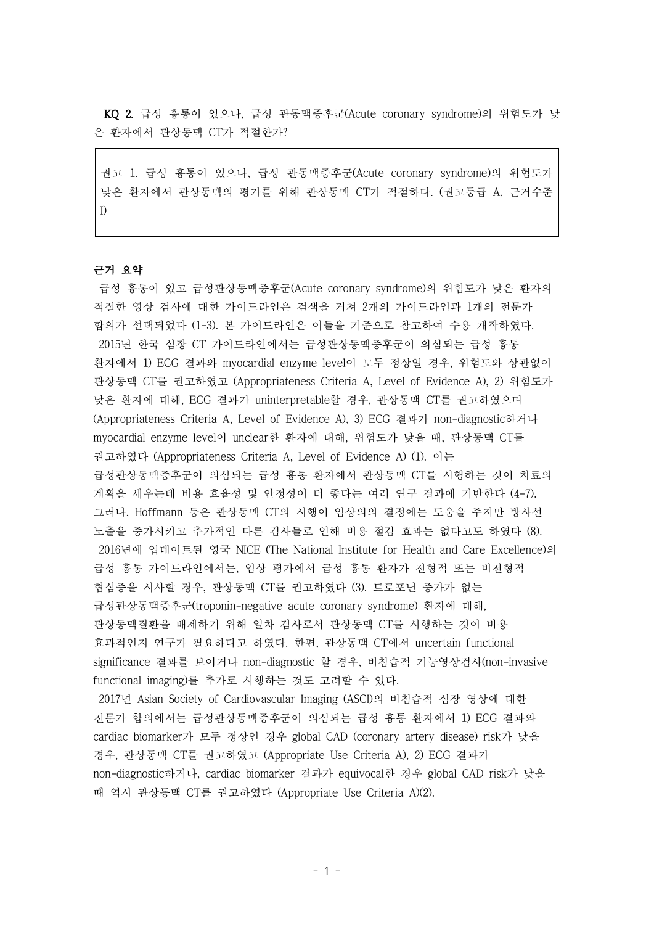KQ 2. 급성 흉통이 있으나, 급성 관동맥증후군(Acute coronary syndrome)의 위험도가 낮 은 환자에서 관상동맥 CT가 적절한가?

권고 1. 급성 흉통이 있으나, 급성 관동맥증후군(Acute coronary syndrome)의 위험도가 낮은 환자에서 관상동맥의 평가를 위해 관상동맥 CT가 적절하다. (권고등급 A, 근거수준 I)

## 근거 요약

급성 흉통이 있고 급성관상동맥증후군(Acute coronary syndrome)의 위험도가 낮은 환자의 적절한 영상 검사에 대한 가이드라인은 검색을 거쳐 2개의 가이드라인과 1개의 전문가 합의가 선택되었다 (1-3). 본 가이드라인은 이들을 기준으로 참고하여 수용 개작하였다. 2015년 한국 심장 CT 가이드라인에서는 급성관상동맥증후군이 의심되는 급성 흉통 환자에서 1) ECG 결과와 myocardial enzyme level이 모두 정상일 경우, 위험도와 상관없이 관상동맥 CT를 권고하였고 (Appropriateness Criteria A, Level of Evidence A), 2) 위험도가 낮은 환자에 대해, ECG 결과가 uninterpretable할 경우, 관상동맥 CT를 권고하였으며 (Appropriateness Criteria A, Level of Evidence A), 3) ECG 결과가 non-diagnostic하거나 myocardial enzyme level이 unclear한 환자에 대해, 위험도가 낮을 때, 관상동맥 CT를 권고하였다 (Appropriateness Criteria A, Level of Evidence A) (1). 이는 급성관상동맥증후군이 의심되는 급성 흉통 환자에서 관상동맥 CT를 시행하는 것이 치료의 계획을 세우는데 비용 효율성 및 안정성이 더 좋다는 여러 연구 결과에 기반한다 (4-7). 그러나, Hoffmann 등은 관상동맥 CT의 시행이 임상의의 결정에는 도움을 주지만 방사선 노출을 증가시키고 추가적인 다른 검사들로 인해 비용 절감 효과는 없다고도 하였다 (8). 2016년에 업데이트된 영국 NICE (The National Institute for Health and Care Excellence)의 급성 흉통 가이드라인에서는, 임상 평가에서 급성 흉통 환자가 전형적 또는 비전형적 협심증을 시사할 경우, 관상동맥 CT를 권고하였다 (3). 트로포닌 증가가 없는 급성관상동맥증후군(troponin-negative acute coronary syndrome) 환자에 대해, 관상동맥질환을 배제하기 위해 일차 검사로서 관상동맥 CT를 시행하는 것이 비용 효과적인지 연구가 필요하다고 하였다. 한편, 관상동맥 CT에서 uncertain functional significance 결과를 보이거나 non-diagnostic 할 경우, 비침습적 기능영상검사(non-invasive functional imaging)를 추가로 시행하는 것도 고려할 수 있다.

2017년 Asian Society of Cardiovascular Imaging (ASCI)의 비침습적 심장 영상에 대한 전문가 합의에서는 급성관상동맥증후군이 의심되는 급성 흉통 환자에서 1) ECG 결과와 cardiac biomarker가 모두 정상인 경우 global CAD (coronary artery disease) risk가 낮을 경우, 관상동맥 CT를 권고하였고 (Appropriate Use Criteria A), 2) ECG 결과가 non-diagnostic하거나, cardiac biomarker 결과가 equivocal한 경우 global CAD risk가 낮을 때 역시 관상동맥 CT를 권고하였다 (Appropriate Use Criteria A)(2).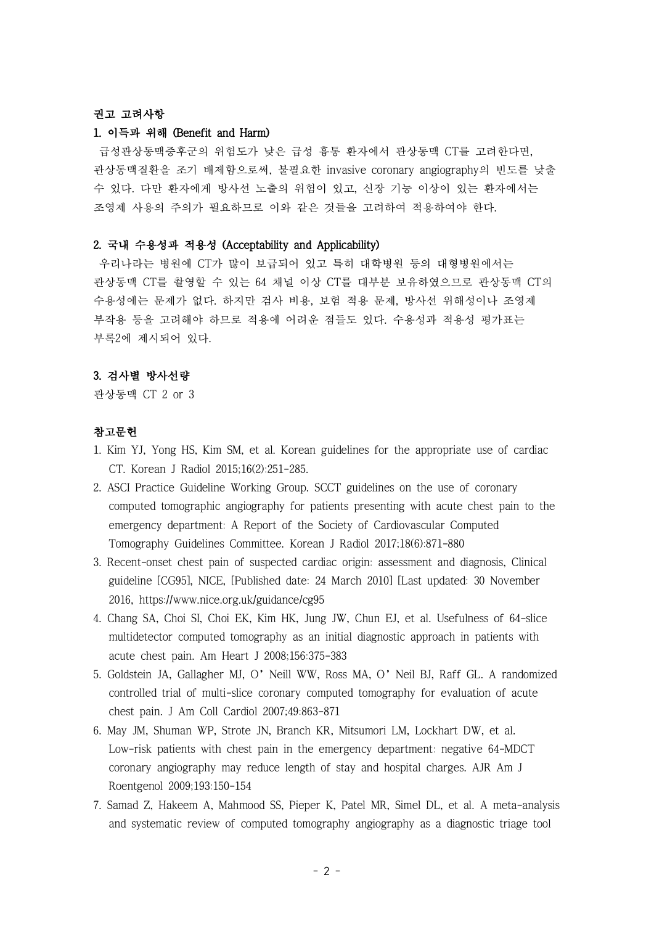# 권고 고려사항

#### 1. 이득과 위해 (Benefit and Harm)

급성관상동맥증후군의 위험도가 낮은 급성 흉통 환자에서 관상동맥 CT를 고려한다면, 관상동맥질환을 조기 배제함으로써, 불필요한 invasive coronary angiography의 빈도를 낮출 수 있다. 다만 환자에게 방사선 노출의 위험이 있고, 신장 기능 이상이 있는 환자에서는 조영제 사용의 주의가 필요하므로 이와 같은 것들을 고려하여 적용하여야 한다.

#### 2. 국내 수용성과 적용성 (Acceptability and Applicability)

우리나라는 병원에 CT가 많이 보급되어 있고 특히 대학병원 등의 대형병원에서는 관상동맥 CT를 촬영할 수 있는 64 채널 이상 CT를 대부분 보유하였으므로 관상동맥 CT의 수용성에는 문제가 없다. 하지만 검사 비용, 보험 적용 문제, 방사선 위해성이나 조영제 부작용 등을 고려해야 하므로 적용에 어려운 점들도 있다. 수용성과 적용성 평가표는 부록2에 제시되어 있다.

### 3. 검사별 방사선량

관상동맥 CT 2 or 3

## 참고문헌

- 1. Kim YJ, Yong HS, Kim SM, et al. Korean guidelines for the appropriate use of cardiac CT. Korean J Radiol 2015;16(2):251-285.
- 2. ASCI Practice Guideline Working Group. SCCT guidelines on the use of coronary computed tomographic angiography for patients presenting with acute chest pain to the emergency department: A Report of the Society of Cardiovascular Computed Tomography Guidelines Committee. Korean J Radiol 2017;18(6):871-880
- 3. Recent-onset chest pain of suspected cardiac origin: assessment and diagnosis, Clinical guideline [CG95], NICE, [Published date: 24 March 2010] [Last updated: 30 November 2016, https://www.nice.org.uk/guidance/cg95
- 4. Chang SA, Choi SI, Choi EK, Kim HK, Jung JW, Chun EJ, et al. Usefulness of 64-slice multidetector computed tomography as an initial diagnostic approach in patients with acute chest pain. Am Heart J 2008;156:375-383
- 5. Goldstein JA, Gallagher MJ, O'Neill WW, Ross MA, O'Neil BJ, Raff GL. A randomized controlled trial of multi-slice coronary computed tomography for evaluation of acute chest pain. J Am Coll Cardiol 2007;49:863-871
- 6. May JM, Shuman WP, Strote JN, Branch KR, Mitsumori LM, Lockhart DW, et al. Low-risk patients with chest pain in the emergency department: negative 64-MDCT coronary angiography may reduce length of stay and hospital charges. AJR Am J Roentgenol 2009;193:150-154
- 7. Samad Z, Hakeem A, Mahmood SS, Pieper K, Patel MR, Simel DL, et al. A meta-analysis and systematic review of computed tomography angiography as a diagnostic triage tool